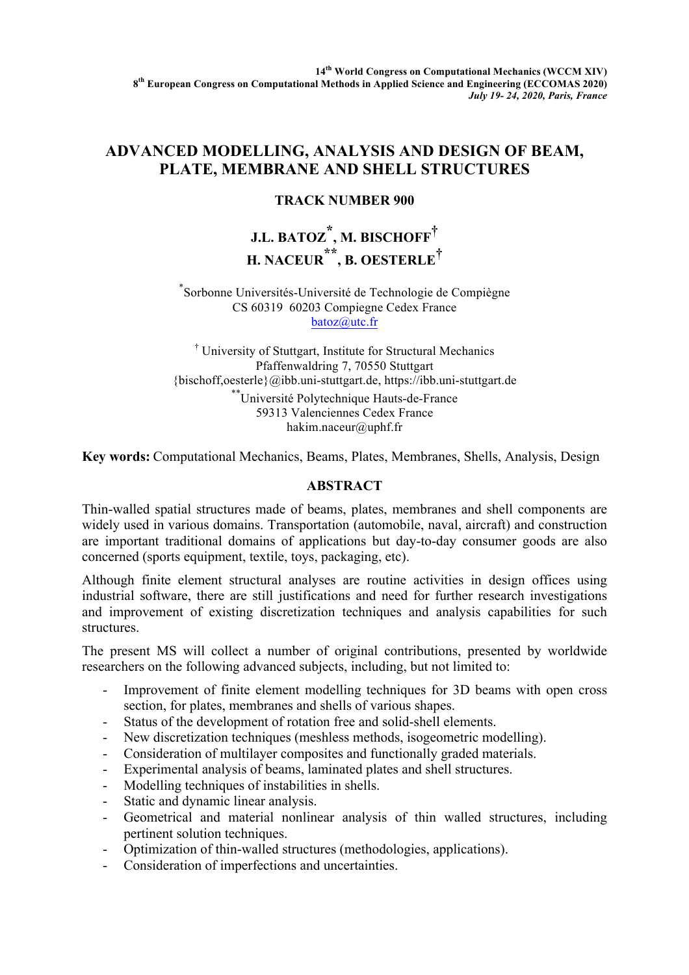# **ADVANCED MODELLING, ANALYSIS AND DESIGN OF BEAM, PLATE, MEMBRANE AND SHELL STRUCTURES**

## **TRACK NUMBER 900**

# **J.L. BATOZ \*, M. BISCHOFF† H. NACEUR \*\* , B. OESTERLE†**

#### \* Sorbonne Universités-Université de Technologie de Compiègne CS 60319 60203 Compiegne Cedex France batoz@utc.fr

† University of Stuttgart, Institute for Structural Mechanics Pfaffenwaldring 7, 70550 Stuttgart {bischoff,oesterle}@ibb.uni-stuttgart.de, https://ibb.uni-stuttgart.de \*\* Université Polytechnique Hauts-de-France 59313 Valenciennes Cedex France hakim.naceur@uphf.fr

**Key words:** Computational Mechanics, Beams, Plates, Membranes, Shells, Analysis, Design

### **ABSTRACT**

Thin-walled spatial structures made of beams, plates, membranes and shell components are widely used in various domains. Transportation (automobile, naval, aircraft) and construction are important traditional domains of applications but day-to-day consumer goods are also concerned (sports equipment, textile, toys, packaging, etc).

Although finite element structural analyses are routine activities in design offices using industrial software, there are still justifications and need for further research investigations and improvement of existing discretization techniques and analysis capabilities for such structures.

The present MS will collect a number of original contributions, presented by worldwide researchers on the following advanced subjects, including, but not limited to:

- Improvement of finite element modelling techniques for 3D beams with open cross section, for plates, membranes and shells of various shapes.
- Status of the development of rotation free and solid-shell elements.
- New discretization techniques (meshless methods, isogeometric modelling).
- Consideration of multilayer composites and functionally graded materials.
- Experimental analysis of beams, laminated plates and shell structures.
- Modelling techniques of instabilities in shells.
- Static and dynamic linear analysis.
- Geometrical and material nonlinear analysis of thin walled structures, including pertinent solution techniques.
- Optimization of thin-walled structures (methodologies, applications).
- Consideration of imperfections and uncertainties.